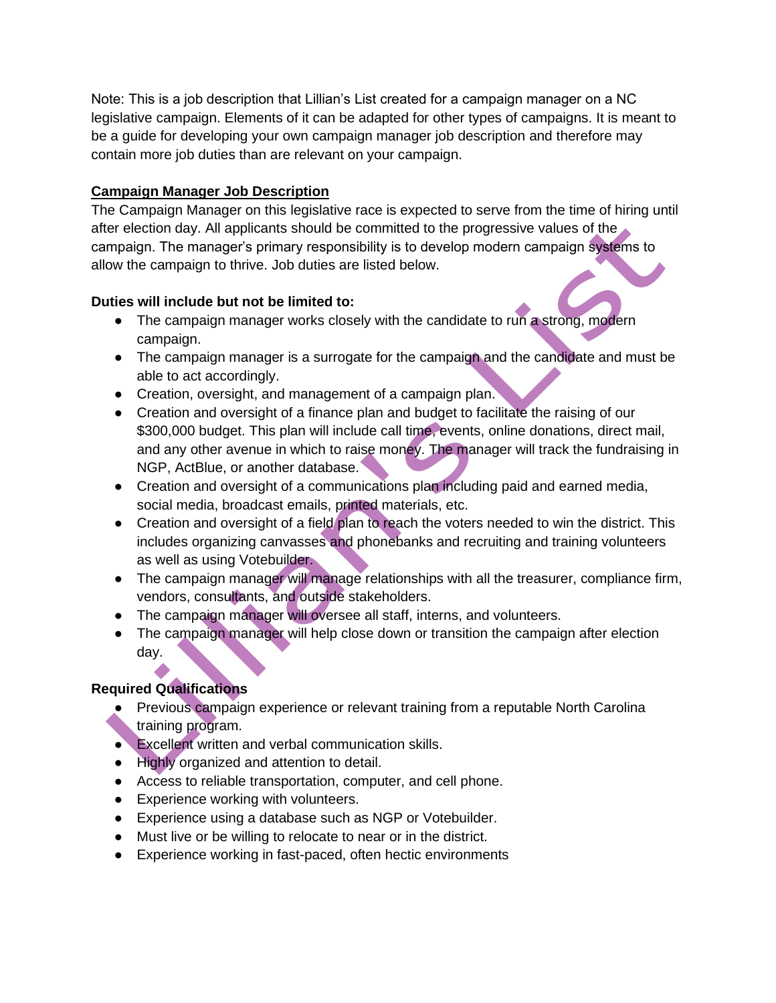Note: This is a job description that Lillian's List created for a campaign manager on a NC legislative campaign. Elements of it can be adapted for other types of campaigns. It is meant to be a guide for developing your own campaign manager job description and therefore may contain more job duties than are relevant on your campaign.

## **Campaign Manager Job Description**

The Campaign Manager on this legislative race is expected to serve from the time of hiring until after election day. All applicants should be committed to the progressive values of the campaign. The manager's primary responsibility is to develop modern campaign systems to allow the campaign to thrive. Job duties are listed below.

## **Duties will include but not be limited to:**

- The campaign manager works closely with the candidate to run a strong, modern campaign.
- The campaign manager is a surrogate for the campaign and the candidate and must be able to act accordingly.
- Creation, oversight, and management of a campaign plan.
- Creation and oversight of a finance plan and budget to facilitate the raising of our \$300,000 budget. This plan will include call time, events, online donations, direct mail, and any other avenue in which to raise money. The manager will track the fundraising in NGP, ActBlue, or another database.
- Creation and oversight of a communications plan including paid and earned media, social media, broadcast emails, printed materials, etc.
- Creation and oversight of a field plan to reach the voters needed to win the district. This includes organizing canvasses and phonebanks and recruiting and training volunteers as well as using Votebuilder.
- The campaign manager will manage relationships with all the treasurer, compliance firm, vendors, consultants, and outside stakeholders.
- The campaign manager will oversee all staff, interns, and volunteers.
- The campaign manager will help close down or transition the campaign after election day.

## **Required Qualifications**

- Previous campaign experience or relevant training from a reputable North Carolina training program.
- Excellent written and verbal communication skills.
- Highly organized and attention to detail.
- Access to reliable transportation, computer, and cell phone.
- Experience working with volunteers.
- Experience using a database such as NGP or Votebuilder.
- Must live or be willing to relocate to near or in the district.
- Experience working in fast-paced, often hectic environments